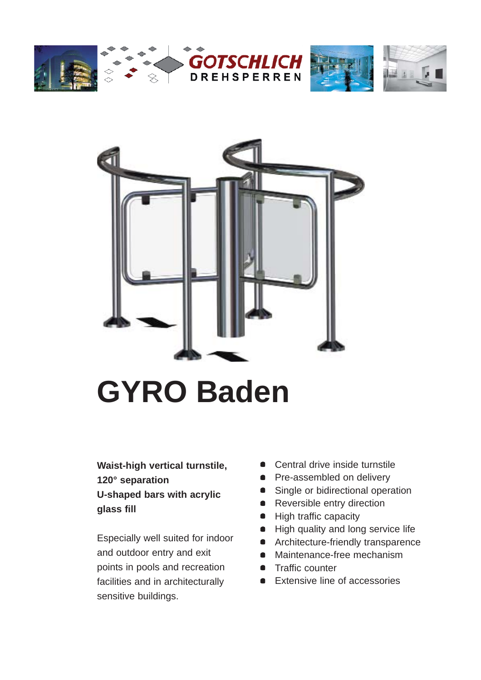





# **GYRO Baden**

**Waist-high vertical turnstile, 120° separation U-shaped bars with acrylic glass fill**

Especially well suited for indoor and outdoor entry and exit points in pools and recreation facilities and in architecturally sensitive buildings.

- Central drive inside turnstile
- Pre-assembled on delivery
- Single or bidirectional operation
- Reversible entry direction
- High traffic capacity
- High quality and long service life
- **•** Architecture-friendly transparence
- Maintenance-free mechanism
- **•** Traffic counter
- **Extensive line of accessories**